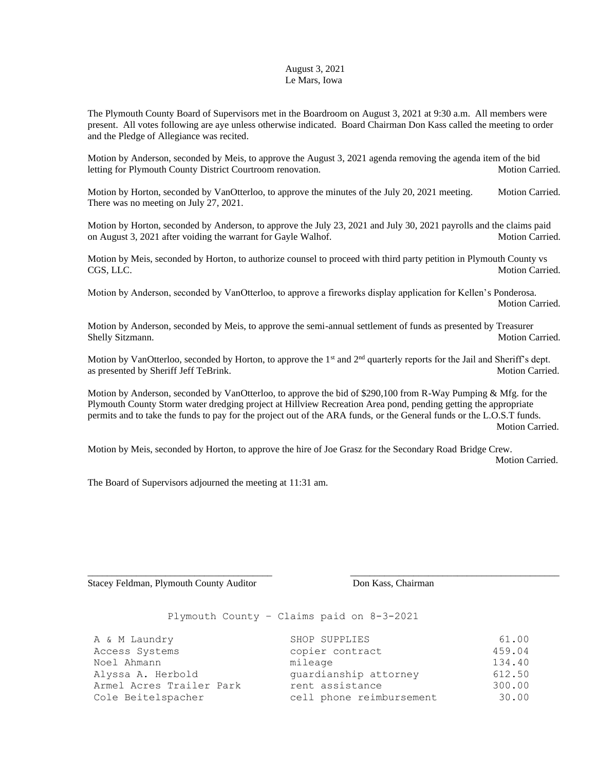## August 3, 2021 Le Mars, Iowa

The Plymouth County Board of Supervisors met in the Boardroom on August 3, 2021 at 9:30 a.m. All members were present. All votes following are aye unless otherwise indicated. Board Chairman Don Kass called the meeting to order and the Pledge of Allegiance was recited.

Motion by Anderson, seconded by Meis, to approve the August 3, 2021 agenda removing the agenda item of the bid letting for Plymouth County District Courtroom renovation. Motion Carried.

Motion by Horton, seconded by VanOtterloo, to approve the minutes of the July 20, 2021 meeting. Motion Carried. There was no meeting on July 27, 2021.

Motion by Horton, seconded by Anderson, to approve the July 23, 2021 and July 30, 2021 payrolls and the claims paid on August 3, 2021 after voiding the warrant for Gayle Walhof. Motion Carried.

Motion by Meis, seconded by Horton, to authorize counsel to proceed with third party petition in Plymouth County vs CGS, LLC. Motion Carried.

Motion by Anderson, seconded by VanOtterloo, to approve a fireworks display application for Kellen's Ponderosa. Motion Carried.

Motion by Anderson, seconded by Meis, to approve the semi-annual settlement of funds as presented by Treasurer Shelly Sitzmann. Motion Carried. Motion Carried.

Motion by VanOtterloo, seconded by Horton, to approve the 1<sup>st</sup> and 2<sup>nd</sup> quarterly reports for the Jail and Sheriff's dept. as presented by Sheriff Jeff TeBrink. Motion Carried. Motion Carried.

Motion by Anderson, seconded by VanOtterloo, to approve the bid of \$290,100 from R-Way Pumping & Mfg. for the Plymouth County Storm water dredging project at Hillview Recreation Area pond, pending getting the appropriate permits and to take the funds to pay for the project out of the ARA funds, or the General funds or the L.O.S.T funds. Motion Carried.

Motion by Meis, seconded by Horton, to approve the hire of Joe Grasz for the Secondary Road Bridge Crew. Motion Carried.

\_\_\_\_\_\_\_\_\_\_\_\_\_\_\_\_\_\_\_\_\_\_\_\_\_\_\_\_\_\_\_\_\_\_\_\_\_\_ \_\_\_\_\_\_\_\_\_\_\_\_\_\_\_\_\_\_\_\_\_\_\_\_\_\_\_\_\_\_\_\_\_\_\_\_\_\_\_\_\_\_\_

The Board of Supervisors adjourned the meeting at 11:31 am.

Stacey Feldman, Plymouth County Auditor Don Kass, Chairman

Plymouth County – Claims paid on 8-3-2021

| A & M Laundry            | SHOP SUPPLIES            | 61.00  |
|--------------------------|--------------------------|--------|
| Access Systems           | copier contract          | 459.04 |
| Noel Ahmann              | mileage                  | 134.40 |
| Alyssa A. Herbold        | quardianship attorney    | 612.50 |
| Armel Acres Trailer Park | rent assistance          | 300.00 |
| Cole Beitelspacher       | cell phone reimbursement | 30.00  |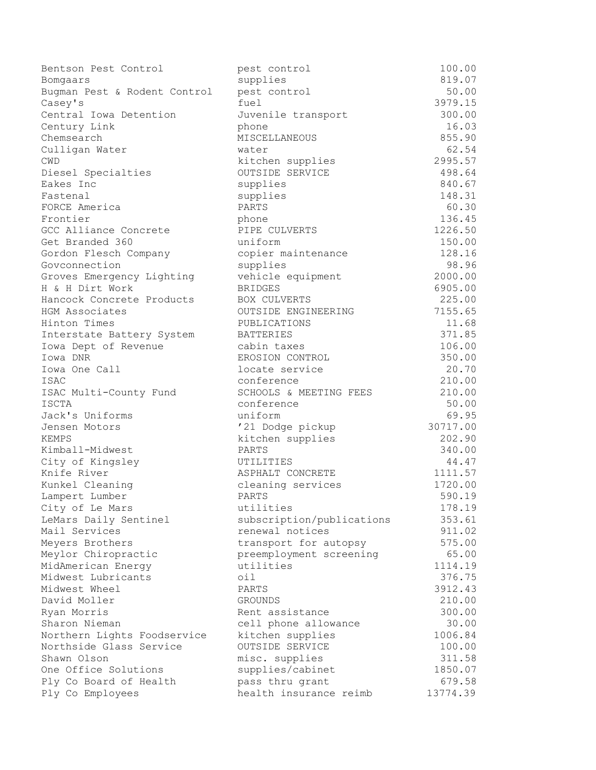| Bentson Pest Control         | pest control              | 100.00   |
|------------------------------|---------------------------|----------|
| Bomgaars                     | supplies                  | 819.07   |
| Bugman Pest & Rodent Control | pest control              | 50.00    |
| Casey's                      | fuel                      | 3979.15  |
| Central Iowa Detention       | Juvenile transport        | 300.00   |
| Century Link                 | phone                     | 16.03    |
| Chemsearch                   | MISCELLANEOUS             | 855.90   |
| Culligan Water               | water                     | 62.54    |
| <b>CWD</b>                   | kitchen supplies          | 2995.57  |
| Diesel Specialties           | OUTSIDE SERVICE           | 498.64   |
| Eakes Inc                    | supplies                  | 840.67   |
| Fastenal                     | supplies                  | 148.31   |
| FORCE America                | PARTS                     | 60.30    |
| Frontier                     | phone                     | 136.45   |
| GCC Alliance Concrete        | PIPE CULVERTS             | 1226.50  |
| Get Branded 360              | uniform                   | 150.00   |
| Gordon Flesch Company        | copier maintenance        | 128.16   |
| Govconnection                | supplies                  | 98.96    |
| Groves Emergency Lighting    | vehicle equipment         | 2000.00  |
| H & H Dirt Work              | <b>BRIDGES</b>            | 6905.00  |
| Hancock Concrete Products    | BOX CULVERTS              | 225.00   |
| HGM Associates               | OUTSIDE ENGINEERING       | 7155.65  |
| Hinton Times                 | PUBLICATIONS              | 11.68    |
| Interstate Battery System    | <b>BATTERIES</b>          | 371.85   |
| Iowa Dept of Revenue         | cabin taxes               | 106.00   |
| Iowa DNR                     | EROSION CONTROL           | 350.00   |
| Iowa One Call                | locate service            | 20.70    |
| ISAC                         | conference                | 210.00   |
| ISAC Multi-County Fund       | SCHOOLS & MEETING FEES    | 210.00   |
| <b>ISCTA</b>                 | conference                | 50.00    |
| Jack's Uniforms              | uniform                   | 69.95    |
| Jensen Motors                | '21 Dodge pickup          | 30717.00 |
| <b>KEMPS</b>                 | kitchen supplies          | 202.90   |
| Kimball-Midwest              | PARTS                     | 340.00   |
| City of Kingsley             | UTILITIES                 | 44.47    |
| Knife River                  | ASPHALT CONCRETE          | 1111.57  |
| Kunkel Cleaning              | cleaning services         | 1720.00  |
| Lampert Lumber               | PARTS                     | 590.19   |
| City of Le Mars              | utilities                 | 178.19   |
| LeMars Daily Sentinel        | subscription/publications | 353.61   |
| Mail Services                | renewal notices           | 911.02   |
| Meyers Brothers              | transport for autopsy     | 575.00   |
| Meylor Chiropractic          | preemployment screening   | 65.00    |
| MidAmerican Energy           | utilities                 | 1114.19  |
| Midwest Lubricants           | oil                       | 376.75   |
| Midwest Wheel                | PARTS                     | 3912.43  |
| David Moller                 | <b>GROUNDS</b>            | 210.00   |
| Ryan Morris                  | Rent assistance           | 300.00   |
| Sharon Nieman                | cell phone allowance      | 30.00    |
| Northern Lights Foodservice  | kitchen supplies          | 1006.84  |
| Northside Glass Service      | OUTSIDE SERVICE           | 100.00   |
| Shawn Olson                  | misc. supplies            | 311.58   |
| One Office Solutions         | supplies/cabinet          | 1850.07  |
| Ply Co Board of Health       | pass thru grant           | 679.58   |
| Ply Co Employees             | health insurance reimb    | 13774.39 |
|                              |                           |          |